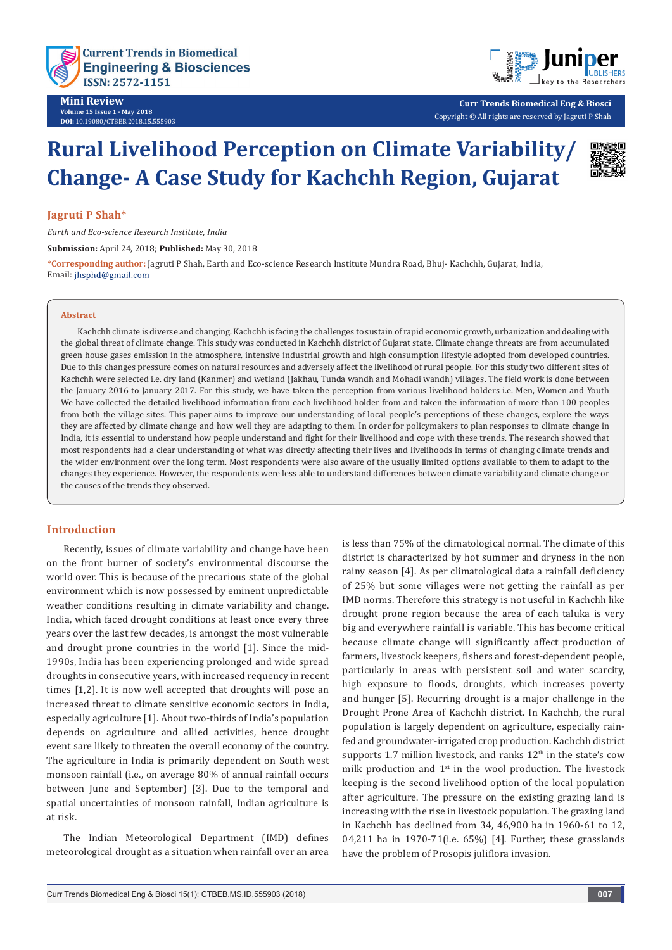



**Curr Trends Biomedical Eng & Biosci** Copyright © All rights are reserved by Jagruti P Shah

# **Rural Livelihood Perception on Climate Variability/ Change- A Case Study for Kachchh Region, Gujarat**



#### **Jagruti P Shah\***

*Earth and Eco-science Research Institute, India*

**Submission:** April 24, 2018; **Published:** May 30, 2018

**\*Corresponding author:** Jagruti P Shah, Earth and Eco-science Research Institute Mundra Road, Bhuj- Kachchh, Gujarat, India, Email: jhsphd@gmail.com

#### **Abstract**

Kachchh climate is diverse and changing. Kachchh is facing the challenges to sustain of rapid economic growth, urbanization and dealing with the global threat of climate change. This study was conducted in Kachchh district of Gujarat state. Climate change threats are from accumulated green house gases emission in the atmosphere, intensive industrial growth and high consumption lifestyle adopted from developed countries. Due to this changes pressure comes on natural resources and adversely affect the livelihood of rural people. For this study two different sites of Kachchh were selected i.e. dry land (Kanmer) and wetland (Jakhau, Tunda wandh and Mohadi wandh) villages. The field work is done between the January 2016 to January 2017. For this study, we have taken the perception from various livelihood holders i.e. Men, Women and Youth We have collected the detailed livelihood information from each livelihood holder from and taken the information of more than 100 peoples from both the village sites. This paper aims to improve our understanding of local people's perceptions of these changes, explore the ways they are affected by climate change and how well they are adapting to them. In order for policymakers to plan responses to climate change in India, it is essential to understand how people understand and fight for their livelihood and cope with these trends. The research showed that most respondents had a clear understanding of what was directly affecting their lives and livelihoods in terms of changing climate trends and the wider environment over the long term. Most respondents were also aware of the usually limited options available to them to adapt to the changes they experience. However, the respondents were less able to understand differences between climate variability and climate change or the causes of the trends they observed.

#### **Introduction**

Recently, issues of climate variability and change have been on the front burner of society's environmental discourse the world over. This is because of the precarious state of the global environment which is now possessed by eminent unpredictable weather conditions resulting in climate variability and change. India, which faced drought conditions at least once every three years over the last few decades, is amongst the most vulnerable and drought prone countries in the world [1]. Since the mid-1990s, India has been experiencing prolonged and wide spread droughts in consecutive years, with increased requency in recent times [1,2]. It is now well accepted that droughts will pose an increased threat to climate sensitive economic sectors in India, especially agriculture [1]. About two-thirds of India's population depends on agriculture and allied activities, hence drought event sare likely to threaten the overall economy of the country. The agriculture in India is primarily dependent on South west monsoon rainfall (i.e., on average 80% of annual rainfall occurs between June and September) [3]. Due to the temporal and spatial uncertainties of monsoon rainfall, Indian agriculture is at risk.

The Indian Meteorological Department (IMD) defines meteorological drought as a situation when rainfall over an area

is less than 75% of the climatological normal. The climate of this district is characterized by hot summer and dryness in the non rainy season [4]. As per climatological data a rainfall deficiency of 25% but some villages were not getting the rainfall as per IMD norms. Therefore this strategy is not useful in Kachchh like drought prone region because the area of each taluka is very big and everywhere rainfall is variable. This has become critical because climate change will significantly affect production of farmers, livestock keepers, fishers and forest-dependent people, particularly in areas with persistent soil and water scarcity, high exposure to floods, droughts, which increases poverty and hunger [5]. Recurring drought is a major challenge in the Drought Prone Area of Kachchh district. In Kachchh, the rural population is largely dependent on agriculture, especially rainfed and groundwater-irrigated crop production. Kachchh district supports 1.7 million livestock, and ranks  $12<sup>th</sup>$  in the state's cow milk production and 1<sup>st</sup> in the wool production. The livestock keeping is the second livelihood option of the local population after agriculture. The pressure on the existing grazing land is increasing with the rise in livestock population. The grazing land in Kachchh has declined from 34, 46,900 ha in 1960-61 to 12, 04,211 ha in 1970-71(i.e. 65%) [4]. Further, these grasslands have the problem of Prosopis juliflora invasion.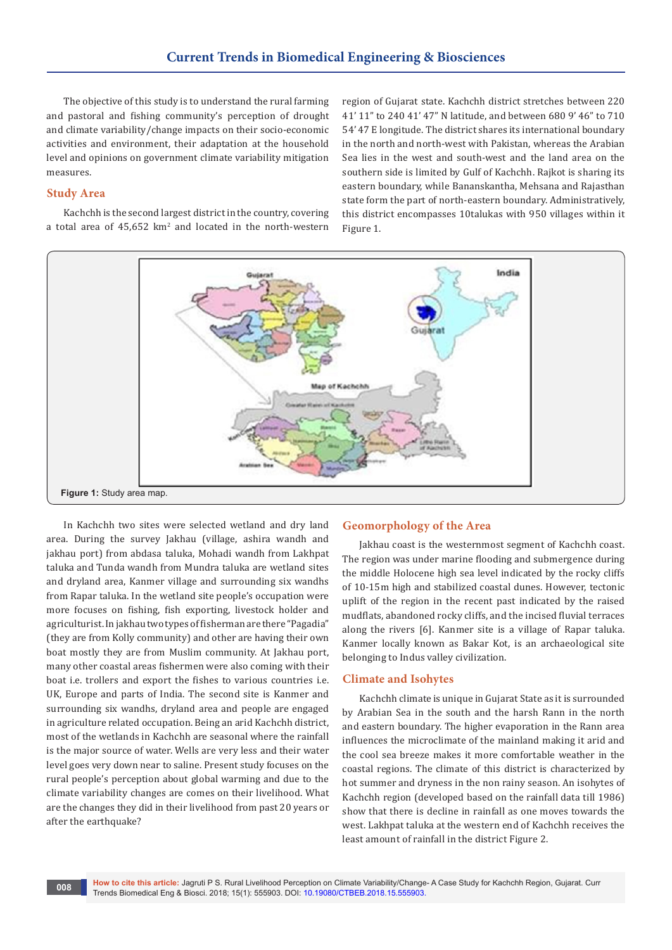The objective of this study is to understand the rural farming and pastoral and fishing community's perception of drought and climate variability/change impacts on their socio-economic activities and environment, their adaptation at the household level and opinions on government climate variability mitigation measures.

#### **Study Area**

Kachchh is the second largest district in the country, covering a total area of  $45,652 \text{ km}^2$  and located in the north-western region of Gujarat state. Kachchh district stretches between 220 41' 11" to 240 41' 47" N latitude, and between 680 9' 46" to 710 54' 47 E longitude. The district shares its international boundary in the north and north-west with Pakistan, whereas the Arabian Sea lies in the west and south-west and the land area on the southern side is limited by Gulf of Kachchh. Rajkot is sharing its eastern boundary, while Bananskantha, Mehsana and Rajasthan state form the part of north-eastern boundary. Administratively, this district encompasses 10talukas with 950 villages within it Figure 1.



In Kachchh two sites were selected wetland and dry land area. During the survey Jakhau (village, ashira wandh and jakhau port) from abdasa taluka, Mohadi wandh from Lakhpat taluka and Tunda wandh from Mundra taluka are wetland sites and dryland area, Kanmer village and surrounding six wandhs from Rapar taluka. In the wetland site people's occupation were more focuses on fishing, fish exporting, livestock holder and agriculturist. In jakhau two types of fisherman are there "Pagadia" (they are from Kolly community) and other are having their own boat mostly they are from Muslim community. At Jakhau port, many other coastal areas fishermen were also coming with their boat i.e. trollers and export the fishes to various countries i.e. UK, Europe and parts of India. The second site is Kanmer and surrounding six wandhs, dryland area and people are engaged in agriculture related occupation. Being an arid Kachchh district, most of the wetlands in Kachchh are seasonal where the rainfall is the major source of water. Wells are very less and their water level goes very down near to saline. Present study focuses on the rural people's perception about global warming and due to the climate variability changes are comes on their livelihood. What are the changes they did in their livelihood from past 20 years or after the earthquake?

#### **Geomorphology of the Area**

Jakhau coast is the westernmost segment of Kachchh coast. The region was under marine flooding and submergence during the middle Holocene high sea level indicated by the rocky cliffs of 10-15m high and stabilized coastal dunes. However, tectonic uplift of the region in the recent past indicated by the raised mudflats, abandoned rocky cliffs, and the incised fluvial terraces along the rivers [6]. Kanmer site is a village of Rapar taluka. Kanmer locally known as Bakar Kot, is an archaeological site belonging to Indus valley civilization.

#### **Climate and Isohytes**

Kachchh climate is unique in Gujarat State as it is surrounded by Arabian Sea in the south and the harsh Rann in the north and eastern boundary. The higher evaporation in the Rann area influences the microclimate of the mainland making it arid and the cool sea breeze makes it more comfortable weather in the coastal regions. The climate of this district is characterized by hot summer and dryness in the non rainy season. An isohytes of Kachchh region (developed based on the rainfall data till 1986) show that there is decline in rainfall as one moves towards the west. Lakhpat taluka at the western end of Kachchh receives the least amount of rainfall in the district Figure 2.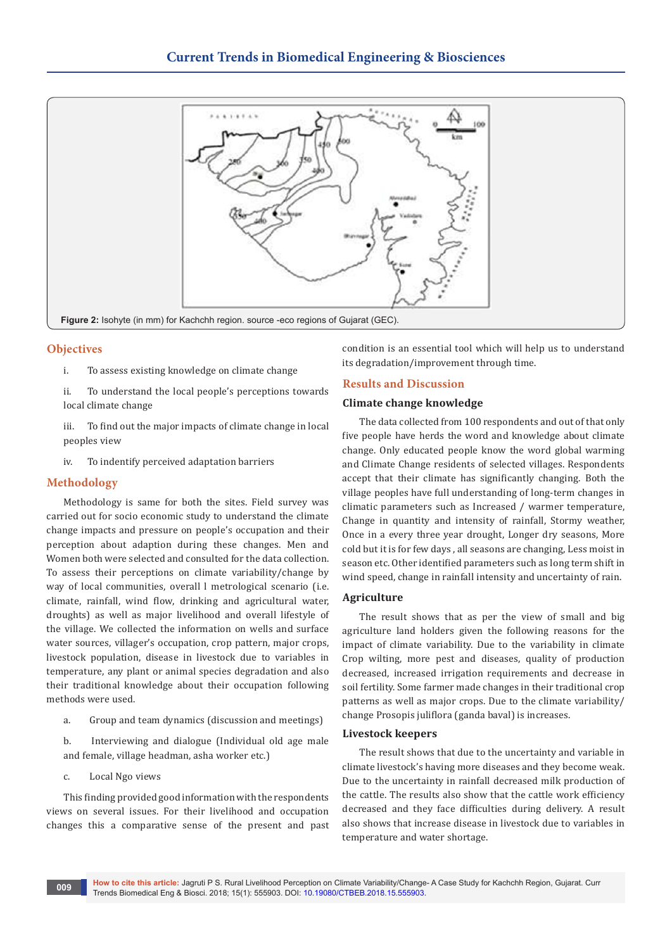

# **Objectives**

- i. To assess existing knowledge on climate change
- ii. To understand the local people's perceptions towards local climate change
- iii. To find out the major impacts of climate change in local peoples view
- iv. To indentify perceived adaptation barriers

# **Methodology**

Methodology is same for both the sites. Field survey was carried out for socio economic study to understand the climate change impacts and pressure on people's occupation and their perception about adaption during these changes. Men and Women both were selected and consulted for the data collection. To assess their perceptions on climate variability/change by way of local communities, overall l metrological scenario (i.e. climate, rainfall, wind flow, drinking and agricultural water, droughts) as well as major livelihood and overall lifestyle of the village. We collected the information on wells and surface water sources, villager's occupation, crop pattern, major crops, livestock population, disease in livestock due to variables in temperature, any plant or animal species degradation and also their traditional knowledge about their occupation following methods were used.

a. Group and team dynamics (discussion and meetings)

b. Interviewing and dialogue (Individual old age male and female, village headman, asha worker etc.)

c. Local Ngo views

This finding provided good information with the respondents views on several issues. For their livelihood and occupation changes this a comparative sense of the present and past condition is an essential tool which will help us to understand its degradation/improvement through time.

# **Results and Discussion**

# **Climate change knowledge**

The data collected from 100 respondents and out of that only five people have herds the word and knowledge about climate change. Only educated people know the word global warming and Climate Change residents of selected villages. Respondents accept that their climate has significantly changing. Both the village peoples have full understanding of long-term changes in climatic parameters such as Increased / warmer temperature, Change in quantity and intensity of rainfall, Stormy weather, Once in a every three year drought, Longer dry seasons, More cold but it is for few days , all seasons are changing, Less moist in season etc. Other identified parameters such as long term shift in wind speed, change in rainfall intensity and uncertainty of rain.

# **Agriculture**

The result shows that as per the view of small and big agriculture land holders given the following reasons for the impact of climate variability. Due to the variability in climate Crop wilting, more pest and diseases, quality of production decreased, increased irrigation requirements and decrease in soil fertility. Some farmer made changes in their traditional crop patterns as well as major crops. Due to the climate variability/ change Prosopis juliflora (ganda baval) is increases.

#### **Livestock keepers**

The result shows that due to the uncertainty and variable in climate livestock's having more diseases and they become weak. Due to the uncertainty in rainfall decreased milk production of the cattle. The results also show that the cattle work efficiency decreased and they face difficulties during delivery. A result also shows that increase disease in livestock due to variables in temperature and water shortage.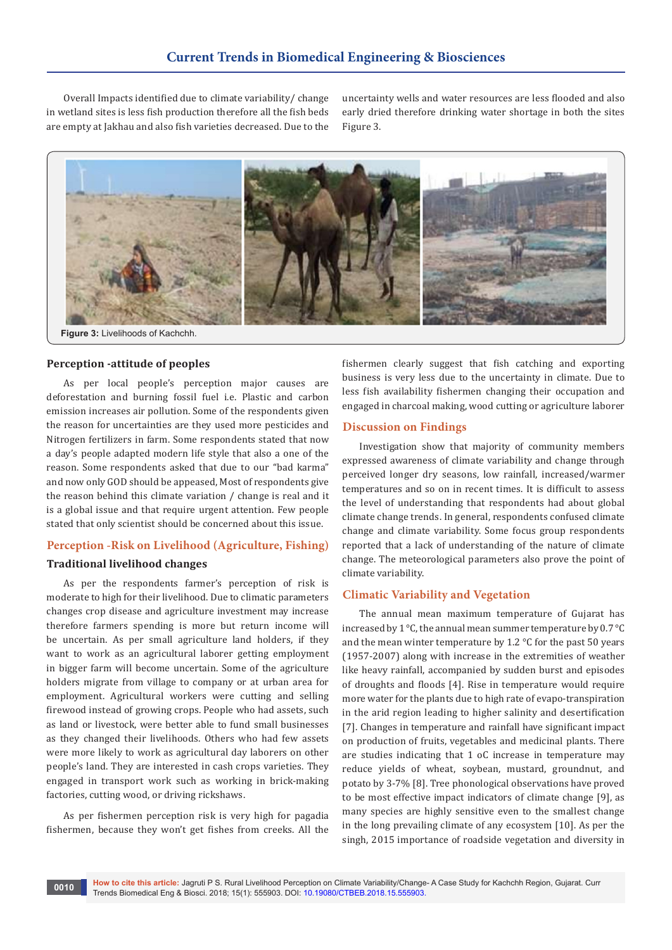Overall Impacts identified due to climate variability/ change in wetland sites is less fish production therefore all the fish beds are empty at Jakhau and also fish varieties decreased. Due to the uncertainty wells and water resources are less flooded and also early dried therefore drinking water shortage in both the sites Figure 3.



#### **Perception -attitude of peoples**

As per local people's perception major causes are deforestation and burning fossil fuel i.e. Plastic and carbon emission increases air pollution. Some of the respondents given the reason for uncertainties are they used more pesticides and Nitrogen fertilizers in farm. Some respondents stated that now a day's people adapted modern life style that also a one of the reason. Some respondents asked that due to our "bad karma" and now only GOD should be appeased, Most of respondents give the reason behind this climate variation / change is real and it is a global issue and that require urgent attention. Few people stated that only scientist should be concerned about this issue.

#### **Perception -Risk on Livelihood (Agriculture, Fishing)**

# **Traditional livelihood changes**

As per the respondents farmer's perception of risk is moderate to high for their livelihood. Due to climatic parameters changes crop disease and agriculture investment may increase therefore farmers spending is more but return income will be uncertain. As per small agriculture land holders, if they want to work as an agricultural laborer getting employment in bigger farm will become uncertain. Some of the agriculture holders migrate from village to company or at urban area for employment. Agricultural workers were cutting and selling firewood instead of growing crops. People who had assets, such as land or livestock, were better able to fund small businesses as they changed their livelihoods. Others who had few assets were more likely to work as agricultural day laborers on other people's land. They are interested in cash crops varieties. They engaged in transport work such as working in brick-making factories, cutting wood, or driving rickshaws.

As per fishermen perception risk is very high for pagadia fishermen, because they won't get fishes from creeks. All the fishermen clearly suggest that fish catching and exporting business is very less due to the uncertainty in climate. Due to less fish availability fishermen changing their occupation and engaged in charcoal making, wood cutting or agriculture laborer

#### **Discussion on Findings**

Investigation show that majority of community members expressed awareness of climate variability and change through perceived longer dry seasons, low rainfall, increased/warmer temperatures and so on in recent times. It is difficult to assess the level of understanding that respondents had about global climate change trends. In general, respondents confused climate change and climate variability. Some focus group respondents reported that a lack of understanding of the nature of climate change. The meteorological parameters also prove the point of climate variability.

#### **Climatic Variability and Vegetation**

The annual mean maximum temperature of Gujarat has increased by 1 °C, the annual mean summer temperature by 0.7 °C and the mean winter temperature by 1.2 °C for the past 50 years (1957-2007) along with increase in the extremities of weather like heavy rainfall, accompanied by sudden burst and episodes of droughts and floods [4]. Rise in temperature would require more water for the plants due to high rate of evapo-transpiration in the arid region leading to higher salinity and desertification [7]. Changes in temperature and rainfall have significant impact on production of fruits, vegetables and medicinal plants. There are studies indicating that 1 oC increase in temperature may reduce yields of wheat, soybean, mustard, groundnut, and potato by 3-7% [8]. Tree phonological observations have proved to be most effective impact indicators of climate change [9], as many species are highly sensitive even to the smallest change in the long prevailing climate of any ecosystem [10]. As per the singh, 2015 importance of roadside vegetation and diversity in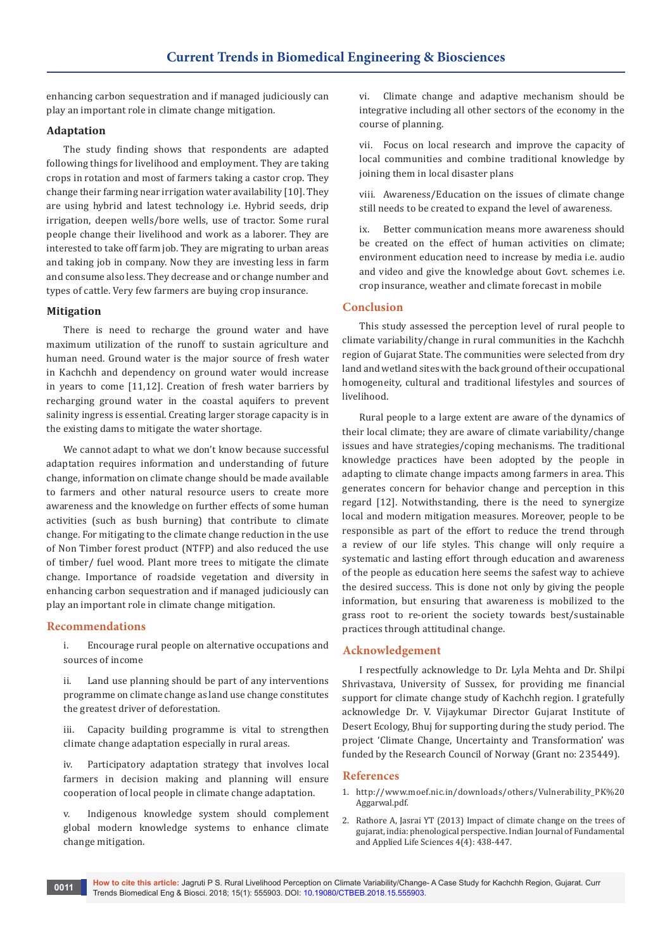enhancing carbon sequestration and if managed judiciously can play an important role in climate change mitigation.

# **Adaptation**

The study finding shows that respondents are adapted following things for livelihood and employment. They are taking crops in rotation and most of farmers taking a castor crop. They change their farming near irrigation water availability [10]. They are using hybrid and latest technology i.e. Hybrid seeds, drip irrigation, deepen wells/bore wells, use of tractor. Some rural people change their livelihood and work as a laborer. They are interested to take off farm job. They are migrating to urban areas and taking job in company. Now they are investing less in farm and consume also less. They decrease and or change number and types of cattle. Very few farmers are buying crop insurance.

# **Mitigation**

There is need to recharge the ground water and have maximum utilization of the runoff to sustain agriculture and human need. Ground water is the major source of fresh water in Kachchh and dependency on ground water would increase in years to come [11,12]. Creation of fresh water barriers by recharging ground water in the coastal aquifers to prevent salinity ingress is essential. Creating larger storage capacity is in the existing dams to mitigate the water shortage.

We cannot adapt to what we don't know because successful adaptation requires information and understanding of future change, information on climate change should be made available to farmers and other natural resource users to create more awareness and the knowledge on further effects of some human activities (such as bush burning) that contribute to climate change. For mitigating to the climate change reduction in the use of Non Timber forest product (NTFP) and also reduced the use of timber/ fuel wood. Plant more trees to mitigate the climate change. Importance of roadside vegetation and diversity in enhancing carbon sequestration and if managed judiciously can play an important role in climate change mitigation.

# **Recommendations**

i. Encourage rural people on alternative occupations and sources of income

ii. Land use planning should be part of any interventions programme on climate change as land use change constitutes the greatest driver of deforestation.

iii. Capacity building programme is vital to strengthen climate change adaptation especially in rural areas.

iv. Participatory adaptation strategy that involves local farmers in decision making and planning will ensure cooperation of local people in climate change adaptation.

v. Indigenous knowledge system should complement global modern knowledge systems to enhance climate change mitigation.

vi. Climate change and adaptive mechanism should be integrative including all other sectors of the economy in the course of planning.

vii. Focus on local research and improve the capacity of local communities and combine traditional knowledge by joining them in local disaster plans

viii. Awareness/Education on the issues of climate change still needs to be created to expand the level of awareness.

ix. Better communication means more awareness should be created on the effect of human activities on climate; environment education need to increase by media i.e. audio and video and give the knowledge about Govt. schemes i.e. crop insurance, weather and climate forecast in mobile

# **Conclusion**

This study assessed the perception level of rural people to climate variability/change in rural communities in the Kachchh region of Gujarat State. The communities were selected from dry land and wetland sites with the back ground of their occupational homogeneity, cultural and traditional lifestyles and sources of livelihood.

Rural people to a large extent are aware of the dynamics of their local climate; they are aware of climate variability/change issues and have strategies/coping mechanisms. The traditional knowledge practices have been adopted by the people in adapting to climate change impacts among farmers in area. This generates concern for behavior change and perception in this regard [12]. Notwithstanding, there is the need to synergize local and modern mitigation measures. Moreover, people to be responsible as part of the effort to reduce the trend through a review of our life styles. This change will only require a systematic and lasting effort through education and awareness of the people as education here seems the safest way to achieve the desired success. This is done not only by giving the people information, but ensuring that awareness is mobilized to the grass root to re-orient the society towards best/sustainable practices through attitudinal change.

# **Acknowledgement**

I respectfully acknowledge to Dr. Lyla Mehta and Dr. Shilpi Shrivastava, University of Sussex, for providing me financial support for climate change study of Kachchh region. I gratefully acknowledge Dr. V. Vijaykumar Director Gujarat Institute of Desert Ecology, Bhuj for supporting during the study period. The project 'Climate Change, Uncertainty and Transformation' was funded by the Research Council of Norway (Grant no: 235449).

# **References**

- 1. [http://www.moef.nic.in/downloads/others/Vulnerability\\_PK%20](http://www.moef.nic.in/downloads/others/Vulnerability_PK%20Aggarwal.pdf) [Aggarwal.pdf.](http://www.moef.nic.in/downloads/others/Vulnerability_PK%20Aggarwal.pdf)
- 2. [Rathore A, Jasrai YT \(2013\) Impact of climate change on the trees of](http://www.cibtech.org/J-LIFE-SCIENCES/PUBLICATIONS/2014/Vol-4-No-4/JLS-064-JUNE-051-APARNA-IMPACT-PERSPECTIVE.pdf)  [gujarat, india: phenological perspective. Indian Journal of Fundamental](http://www.cibtech.org/J-LIFE-SCIENCES/PUBLICATIONS/2014/Vol-4-No-4/JLS-064-JUNE-051-APARNA-IMPACT-PERSPECTIVE.pdf)  [and Applied Life Sciences 4\(4\): 438-447.](http://www.cibtech.org/J-LIFE-SCIENCES/PUBLICATIONS/2014/Vol-4-No-4/JLS-064-JUNE-051-APARNA-IMPACT-PERSPECTIVE.pdf)